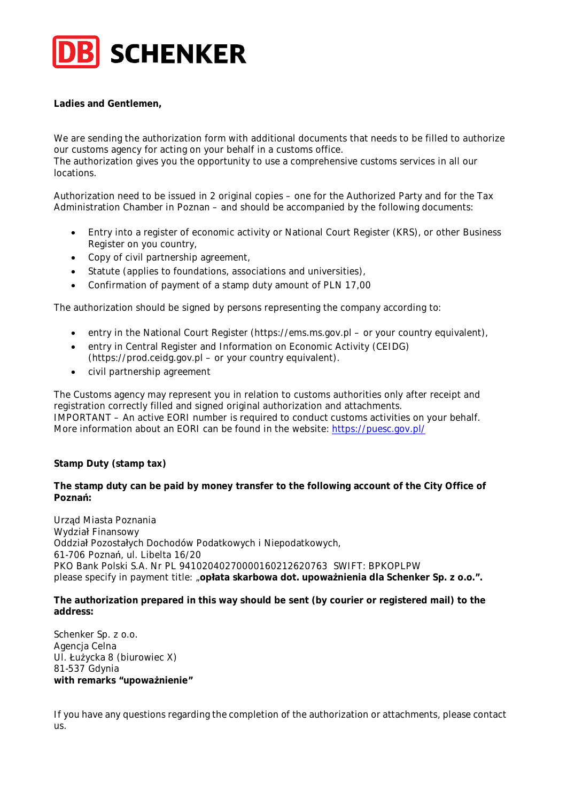

**Ladies and Gentlemen,**

We are sending the authorization form with additional documents that needs to be filled to authorize our customs agency for acting on your behalf in a customs office. The authorization gives you the opportunity to use a comprehensive customs services in all our locations.

Authorization need to be issued in 2 original copies – one for the Authorized Party and for the Tax Administration Chamber in Poznan – and should be accompanied by the following documents:

- Entry into a register of economic activity or National Court Register (KRS), or other Business Register on you country,
- Copy of civil partnership agreement,
- Statute (applies to foundations, associations and universities),
- Confirmation of payment of a stamp duty amount of PLN 17,00

The authorization should be signed by persons representing the company according to:

- entry in the National Court Register (https://ems.ms.gov.pl or your country equivalent),
- entry in Central Register and Information on Economic Activity (CEIDG) (https://prod.ceidg.gov.pl – or your country equivalent).
- civil partnership agreement

The Customs agency may represent you in relation to customs authorities only after receipt and registration correctly filled and signed original authorization and attachments. IMPORTANT – An active EORI number is required to conduct customs activities on your behalf. More information about an EORI can be found in the website: https://puesc.gov.pl/

**Stamp Duty (stamp tax)**

**The stamp duty can be paid by money transfer to the following account of the City Office of Poznań:**

Urząd Miasta Poznania Wydział Finansowy Oddział Pozostałych Dochodów Podatkowych i Niepodatkowych, 61-706 Poznań, ul. Libelta 16/20 PKO Bank Polski S.A. Nr PL 94102040270000160212620763 SWIFT: BPKOPLPW please specify in payment title: "**opłata skarbowa dot. upoważnienia dla Schenker Sp. z o.o.".**

**The authorization prepared in this way should be sent (by courier or registered mail) to the address:**

Schenker Sp. z o.o. Agencja Celna Ul. Łużycka 8 (biurowiec X) 81-537 Gdynia **with remarks "upoważnienie"**

If you have any questions regarding the completion of the authorization or attachments, please contact us.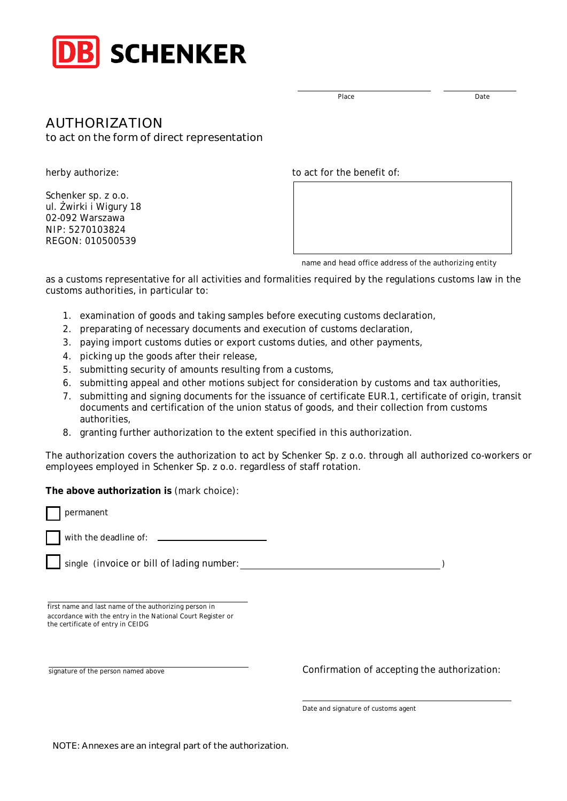

AUTHORIZATION

to act on the form of direct representation

herby authorize:

Schenker sp. z o.o. ul. Żwirki i Wigury 18 02-092 Warszawa NIP: 5270103824 REGON: 010500539

to act for the benefit of:

name and head office address of the authorizing entity

as a customs representative for all activities and formalities required by the regulations customs law in the customs authorities, in particular to:

- 1. examination of goods and taking samples before executing customs declaration,
- 2. preparating of necessary documents and execution of customs declaration,
- 3. paying import customs duties or export customs duties, and other payments,
- 4. picking up the goods after their release,
- 5. submitting security of amounts resulting from a customs,
- 6. submitting appeal and other motions subject for consideration by customs and tax authorities,
- 7. submitting and signing documents for the issuance of certificate EUR.1, certificate of origin, transit documents and certification of the union status of goods, and their collection from customs authorities,
- 8. granting further authorization to the extent specified in this authorization.

The authorization covers the authorization to act by Schenker Sp. z o.o. through all authorized co-workers or employees employed in Schenker Sp. z o.o. regardless of staff rotation.

**The above authorization is** (mark choice):

with the deadline of:

single (invoice or bill of lading number: )

first name and last name of the authorizing person in accordance with the entry in the National Court Register or the certificate of entry in CEIDG

permanent

signature of the person named above Confirmation of accepting the authorization:

Date and signature of customs agent

NOTE: Annexes are an integral part of the authorization.

Place Date Date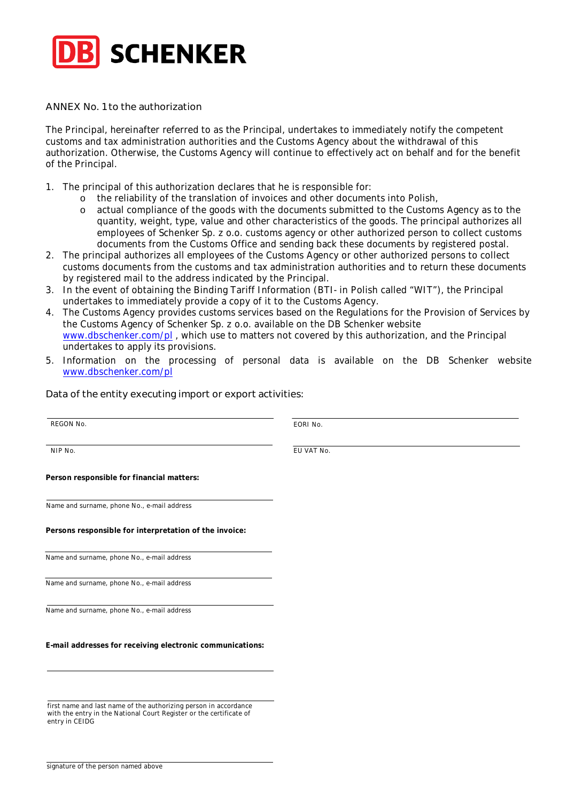

ANNEX No. 1 to the authorization

The Principal, hereinafter referred to as the Principal, undertakes to immediately notify the competent customs and tax administration authorities and the Customs Agency about the withdrawal of this authorization. Otherwise, the Customs Agency will continue to effectively act on behalf and for the benefit of the Principal.

- 1. The principal of this authorization declares that he is responsible for:
	- o the reliability of the translation of invoices and other documents into Polish,
	- actual compliance of the goods with the documents submitted to the Customs Agency as to the quantity, weight, type, value and other characteristics of the goods. The principal authorizes all employees of Schenker Sp. z o.o. customs agency or other authorized person to collect customs documents from the Customs Office and sending back these documents by registered postal.
- 2. The principal authorizes all employees of the Customs Agency or other authorized persons to collect customs documents from the customs and tax administration authorities and to return these documents by registered mail to the address indicated by the Principal.
- 3. In the event of obtaining the Binding Tariff Information (BTI- in Polish called "WIT"), the Principal undertakes to immediately provide a copy of it to the Customs Agency.
- 4. The Customs Agency provides customs services based on the Regulations for the Provision of Services by the Customs Agency of Schenker Sp. z o.o. available on the DB Schenker website www.dbschenker.com/pl , which use to matters not covered by this authorization, and the Principal undertakes to apply its provisions.
- 5. Information on the processing of personal data is available on the DB Schenker website www.dbschenker.com/pl

Data of the entity executing import or export activities:

REGON No. **EXECUTE 2 EXECUTE 2 EORI No. EORI No. EORI No.** NIP No. EU VAT No. **Person responsible for financial matters:** Name and surname, phone No., e-mail address **Persons responsible for interpretation of the invoice:** Name and surname, phone No., e-mail address Name and surname, phone No., e-mail address Name and surname, phone No., e-mail address **E-mail addresses for receiving electronic communications:** first name and last name of the authorizing person in accordance

entry in CEIDG

with the entry in the National Court Register or the certificate of